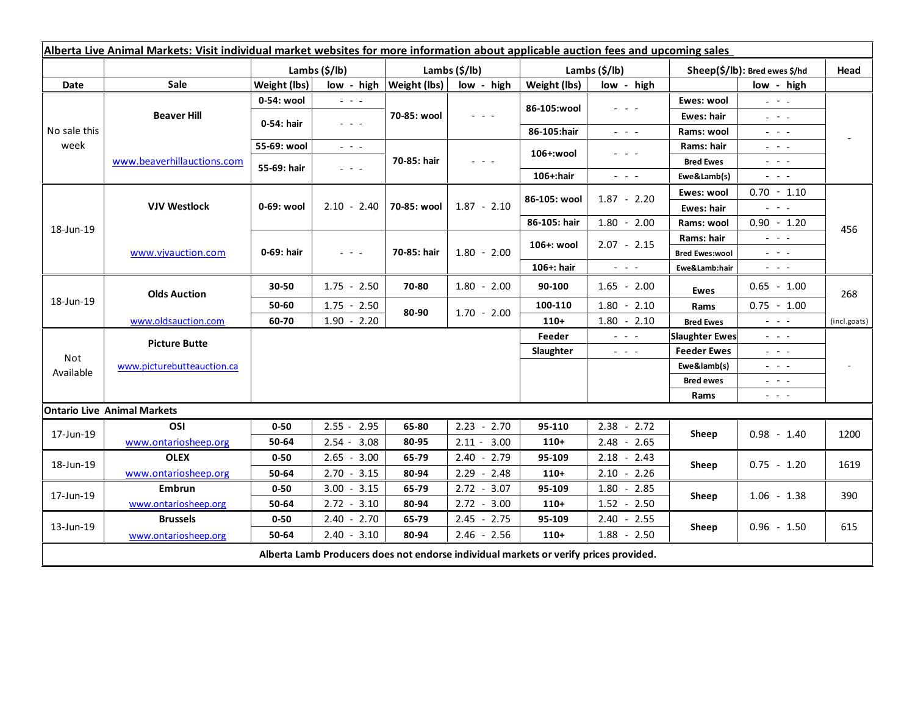| Alberta Live Animal Markets: Visit individual market websites for more information about applicable auction fees and upcoming sales |                                    |               |                                                                                                                           |                           |                                                                                                                           |               |                                                                                                                           |                               |                                                                                                                                                                                                                                                                                                                                                                                                                                                |                          |
|-------------------------------------------------------------------------------------------------------------------------------------|------------------------------------|---------------|---------------------------------------------------------------------------------------------------------------------------|---------------------------|---------------------------------------------------------------------------------------------------------------------------|---------------|---------------------------------------------------------------------------------------------------------------------------|-------------------------------|------------------------------------------------------------------------------------------------------------------------------------------------------------------------------------------------------------------------------------------------------------------------------------------------------------------------------------------------------------------------------------------------------------------------------------------------|--------------------------|
|                                                                                                                                     |                                    | Lambs (\$/lb) |                                                                                                                           | Lambs $(\frac{2}{3})$ lb) |                                                                                                                           | Lambs (\$/lb) |                                                                                                                           | Sheep(\$/lb): Bred ewes \$/hd |                                                                                                                                                                                                                                                                                                                                                                                                                                                | Head                     |
| Date                                                                                                                                | Sale                               | Weight (lbs)  | low - high                                                                                                                | Weight (lbs)              | low - high                                                                                                                | Weight (lbs)  | low - high                                                                                                                |                               | low - high                                                                                                                                                                                                                                                                                                                                                                                                                                     |                          |
| No sale this<br>week                                                                                                                | <b>Beaver Hill</b>                 | 0-54: wool    | $\sim$ $\sim$ $\sim$                                                                                                      | 70-85: wool               | $\frac{1}{2} \left( \frac{1}{2} \right) \left( \frac{1}{2} \right) \left( \frac{1}{2} \right) \left( \frac{1}{2} \right)$ | 86-105:wool   | $\frac{1}{2} \left( \frac{1}{2} \right) \left( \frac{1}{2} \right) \left( \frac{1}{2} \right) \left( \frac{1}{2} \right)$ | Ewes: wool                    | $\mathbb{Z}^2 \times \mathbb{Z}^2$                                                                                                                                                                                                                                                                                                                                                                                                             |                          |
|                                                                                                                                     |                                    | 0-54: hair    | $\frac{1}{2} \left( \frac{1}{2} \right) \left( \frac{1}{2} \right) \left( \frac{1}{2} \right) \left( \frac{1}{2} \right)$ |                           |                                                                                                                           |               |                                                                                                                           | Ewes: hair                    | $\frac{1}{2}$ and $\frac{1}{2}$                                                                                                                                                                                                                                                                                                                                                                                                                |                          |
|                                                                                                                                     |                                    |               |                                                                                                                           |                           |                                                                                                                           | 86-105:hair   | 20 A G                                                                                                                    | Rams: wool                    | $\frac{1}{2} \left( \frac{1}{2} \right) = \frac{1}{2} \left( \frac{1}{2} \right)$                                                                                                                                                                                                                                                                                                                                                              |                          |
|                                                                                                                                     | www.beaverhillauctions.com         | 55-69: wool   | $\omega_{\rm{eff}}$ and $\omega_{\rm{eff}}$                                                                               | 70-85: hair               | $  -$                                                                                                                     | 106+:wool     | - - -                                                                                                                     | Rams: hair                    | $\frac{1}{2} \left( \frac{1}{2} \right) = \frac{1}{2} \left( \frac{1}{2} \right) = \frac{1}{2}$                                                                                                                                                                                                                                                                                                                                                |                          |
|                                                                                                                                     |                                    | 55-69: hair   | $\frac{1}{2} \left( \frac{1}{2} \right) = \frac{1}{2} \left( \frac{1}{2} \right)$                                         |                           |                                                                                                                           |               |                                                                                                                           | <b>Bred Ewes</b>              | $\frac{1}{2} \left( \frac{1}{2} \right) \frac{1}{2} \left( \frac{1}{2} \right) \frac{1}{2} \left( \frac{1}{2} \right) \frac{1}{2} \left( \frac{1}{2} \right) \frac{1}{2} \left( \frac{1}{2} \right) \frac{1}{2} \left( \frac{1}{2} \right) \frac{1}{2} \left( \frac{1}{2} \right) \frac{1}{2} \left( \frac{1}{2} \right) \frac{1}{2} \left( \frac{1}{2} \right) \frac{1}{2} \left( \frac{1}{2} \right) \frac{1}{2} \left( \frac{1}{2} \right)$ |                          |
|                                                                                                                                     |                                    |               |                                                                                                                           |                           |                                                                                                                           | 106+:hair     | $\omega_{\rm{eff}}$ and $\omega_{\rm{eff}}$                                                                               | Ewe&Lamb(s)                   | $\omega_{\rm{eff}}$ and $\omega_{\rm{eff}}$                                                                                                                                                                                                                                                                                                                                                                                                    |                          |
| 18-Jun-19                                                                                                                           | <b>VJV Westlock</b>                | 0-69: wool    | $2.10 - 2.40$                                                                                                             | 70-85: wool               | $1.87 - 2.10$                                                                                                             | 86-105: wool  | $1.87 - 2.20$                                                                                                             | Ewes: wool                    | $0.70 - 1.10$                                                                                                                                                                                                                                                                                                                                                                                                                                  | 456                      |
|                                                                                                                                     |                                    |               |                                                                                                                           |                           |                                                                                                                           |               |                                                                                                                           | <b>Ewes: hair</b>             | $\mathbf{L} = \mathbf{L} \cdot \mathbf{L}$                                                                                                                                                                                                                                                                                                                                                                                                     |                          |
|                                                                                                                                     |                                    |               |                                                                                                                           |                           |                                                                                                                           | 86-105: hair  | $1.80 - 2.00$                                                                                                             | Rams: wool                    | $0.90 - 1.20$                                                                                                                                                                                                                                                                                                                                                                                                                                  |                          |
|                                                                                                                                     | www.vjvauction.com                 | 0-69: hair    | $\omega_{\rm{eff}}$ and $\omega_{\rm{eff}}$                                                                               | 70-85: hair               | $1.80 - 2.00$                                                                                                             | 106+: wool    | $2.07 - 2.15$                                                                                                             | Rams: hair                    | $\frac{1}{2} \left( \frac{1}{2} \right) = \frac{1}{2} \left( \frac{1}{2} \right)$                                                                                                                                                                                                                                                                                                                                                              |                          |
|                                                                                                                                     |                                    |               |                                                                                                                           |                           |                                                                                                                           |               |                                                                                                                           | <b>Bred Ewes:wool</b>         | $\omega_{\rm{eff}}$ and $\omega_{\rm{eff}}$                                                                                                                                                                                                                                                                                                                                                                                                    |                          |
|                                                                                                                                     |                                    |               |                                                                                                                           |                           |                                                                                                                           | 106+: hair    | $\omega_{\rm{eff}}$ and $\omega_{\rm{eff}}$                                                                               | Ewe&Lamb:hair                 | $\frac{1}{2} \left( \frac{1}{2} \right) \left( \frac{1}{2} \right) \left( \frac{1}{2} \right) \left( \frac{1}{2} \right) \left( \frac{1}{2} \right)$                                                                                                                                                                                                                                                                                           |                          |
| 18-Jun-19                                                                                                                           | <b>Olds Auction</b>                | 30-50         | $1.75 - 2.50$                                                                                                             | 70-80                     | $1.80 - 2.00$                                                                                                             | 90-100        | $1.65 - 2.00$                                                                                                             | <b>Ewes</b>                   | $0.65 - 1.00$                                                                                                                                                                                                                                                                                                                                                                                                                                  | 268                      |
|                                                                                                                                     |                                    | 50-60         | $1.75 - 2.50$                                                                                                             | 80-90                     | $1.70 - 2.00$                                                                                                             | 100-110       | $1.80 - 2.10$                                                                                                             | Rams                          | $0.75 - 1.00$                                                                                                                                                                                                                                                                                                                                                                                                                                  |                          |
|                                                                                                                                     | www.oldsauction.com                | 60-70         | $1.90 - 2.20$                                                                                                             |                           |                                                                                                                           | $110+$        | $1.80 - 2.10$                                                                                                             | <b>Bred Ewes</b>              | $ -$                                                                                                                                                                                                                                                                                                                                                                                                                                           | (incl.goats)             |
| Not<br>Available                                                                                                                    | <b>Picture Butte</b>               |               |                                                                                                                           |                           |                                                                                                                           | Feeder        | $  -$                                                                                                                     | <b>Slaughter Ewes</b>         | $\frac{1}{2} \left( \frac{1}{2} \right) \left( \frac{1}{2} \right) \left( \frac{1}{2} \right) \left( \frac{1}{2} \right)$                                                                                                                                                                                                                                                                                                                      |                          |
|                                                                                                                                     | www.picturebutteauction.ca         |               |                                                                                                                           |                           |                                                                                                                           | Slaughter     | $\omega_{\rm{c}}$ , $\omega_{\rm{c}}$ , $\omega_{\rm{c}}$                                                                 | <b>Feeder Ewes</b>            | $\frac{1}{2} \left( \frac{1}{2} \right) = \frac{1}{2} \left( \frac{1}{2} \right) = \frac{1}{2}$                                                                                                                                                                                                                                                                                                                                                |                          |
|                                                                                                                                     |                                    |               |                                                                                                                           |                           |                                                                                                                           |               |                                                                                                                           | Ewe&lamb(s)                   | $\frac{1}{2} \left( \frac{1}{2} \right) = \frac{1}{2} \left( \frac{1}{2} \right) = \frac{1}{2}$                                                                                                                                                                                                                                                                                                                                                | $\overline{\phantom{a}}$ |
|                                                                                                                                     |                                    |               |                                                                                                                           |                           |                                                                                                                           |               |                                                                                                                           | <b>Bred ewes</b>              | $\frac{1}{2} \left( \frac{1}{2} \right) \frac{1}{2} \left( \frac{1}{2} \right) \frac{1}{2} \left( \frac{1}{2} \right) \frac{1}{2} \left( \frac{1}{2} \right) \frac{1}{2} \left( \frac{1}{2} \right) \frac{1}{2} \left( \frac{1}{2} \right) \frac{1}{2} \left( \frac{1}{2} \right) \frac{1}{2} \left( \frac{1}{2} \right) \frac{1}{2} \left( \frac{1}{2} \right) \frac{1}{2} \left( \frac{1}{2} \right) \frac{1}{2} \left( \frac{1}{2} \right)$ |                          |
|                                                                                                                                     |                                    |               |                                                                                                                           |                           |                                                                                                                           |               |                                                                                                                           | Rams                          | $  -$                                                                                                                                                                                                                                                                                                                                                                                                                                          |                          |
|                                                                                                                                     | <b>Ontario Live Animal Markets</b> |               |                                                                                                                           |                           |                                                                                                                           |               |                                                                                                                           |                               |                                                                                                                                                                                                                                                                                                                                                                                                                                                |                          |
| 17-Jun-19                                                                                                                           | OSI                                | $0 - 50$      | $2.55 - 2.95$                                                                                                             | 65-80                     | $2.23 - 2.70$                                                                                                             | 95-110        | $2.38 - 2.72$                                                                                                             | Sheep                         | $0.98 - 1.40$                                                                                                                                                                                                                                                                                                                                                                                                                                  | 1200                     |
|                                                                                                                                     | www.ontariosheep.org               | 50-64         | $2.54 - 3.08$                                                                                                             | 80-95                     | $2.11 - 3.00$                                                                                                             | $110+$        | $2.48 - 2.65$                                                                                                             |                               |                                                                                                                                                                                                                                                                                                                                                                                                                                                |                          |
| 18-Jun-19                                                                                                                           | <b>OLEX</b>                        | $0 - 50$      | 3.00<br>$2.65 -$                                                                                                          | 65-79                     | $2.40 - 2.79$                                                                                                             | 95-109        | $2.18 - 2.43$                                                                                                             | Sheep                         | $0.75 - 1.20$                                                                                                                                                                                                                                                                                                                                                                                                                                  | 1619                     |
|                                                                                                                                     | www.ontariosheep.org               | 50-64         | $2.70 - 3.15$                                                                                                             | 80-94                     | $2.29 - 2.48$                                                                                                             | $110+$        | 2.10<br>$-2.26$                                                                                                           |                               |                                                                                                                                                                                                                                                                                                                                                                                                                                                |                          |
| 17-Jun-19                                                                                                                           | Embrun                             | $0 - 50$      | $3.00 - 3.15$                                                                                                             | 65-79                     | $2.72 - 3.07$                                                                                                             | 95-109        | 1.80<br>$-2.85$                                                                                                           | Sheep                         | $1.06 - 1.38$                                                                                                                                                                                                                                                                                                                                                                                                                                  | 390                      |
|                                                                                                                                     | www.ontariosheep.org               | 50-64         | $2.72 - 3.10$                                                                                                             | 80-94                     | $2.72 - 3.00$                                                                                                             | $110+$        | $1.52 - 2.50$                                                                                                             |                               |                                                                                                                                                                                                                                                                                                                                                                                                                                                |                          |
| 13-Jun-19                                                                                                                           | <b>Brussels</b>                    | $0 - 50$      | $2.40 - 2.70$                                                                                                             | 65-79                     | $2.45 - 2.75$                                                                                                             | 95-109        | $2.40 - 2.55$                                                                                                             | <b>Sheep</b>                  | $0.96 - 1.50$                                                                                                                                                                                                                                                                                                                                                                                                                                  | 615                      |
|                                                                                                                                     | www.ontariosheep.org               | 50-64         | $2.40 - 3.10$                                                                                                             | 80-94                     | $2.46 - 2.56$                                                                                                             | $110+$        | $1.88 - 2.50$                                                                                                             |                               |                                                                                                                                                                                                                                                                                                                                                                                                                                                |                          |
| Alberta Lamb Producers does not endorse individual markets or verify prices provided.                                               |                                    |               |                                                                                                                           |                           |                                                                                                                           |               |                                                                                                                           |                               |                                                                                                                                                                                                                                                                                                                                                                                                                                                |                          |